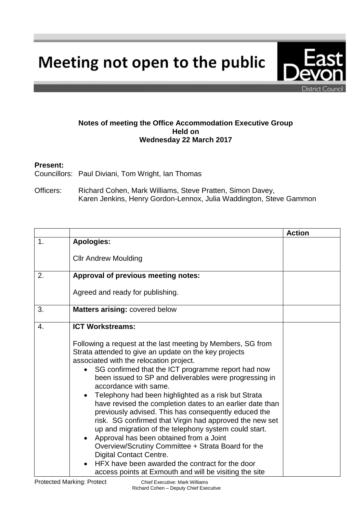Meeting not open to the public

**Notes of meeting the Office Accommodation Executive Group Held on Wednesday 22 March 2017**

## **Present:**

Councillors: Paul Diviani, Tom Wright, Ian Thomas

Officers: Richard Cohen, Mark Williams, Steve Pratten, Simon Davey, Karen Jenkins, Henry Gordon-Lennox, Julia Waddington, Steve Gammon

|                |                                                                                                                                                                                                                                                                                                                                                                                                                                                                                                                                                                                                                                                                                                                                                                                                                                                                                                                            | <b>Action</b> |
|----------------|----------------------------------------------------------------------------------------------------------------------------------------------------------------------------------------------------------------------------------------------------------------------------------------------------------------------------------------------------------------------------------------------------------------------------------------------------------------------------------------------------------------------------------------------------------------------------------------------------------------------------------------------------------------------------------------------------------------------------------------------------------------------------------------------------------------------------------------------------------------------------------------------------------------------------|---------------|
| $\mathbf{1}$ . | <b>Apologies:</b>                                                                                                                                                                                                                                                                                                                                                                                                                                                                                                                                                                                                                                                                                                                                                                                                                                                                                                          |               |
|                | <b>Cllr Andrew Moulding</b>                                                                                                                                                                                                                                                                                                                                                                                                                                                                                                                                                                                                                                                                                                                                                                                                                                                                                                |               |
| 2.             | Approval of previous meeting notes:                                                                                                                                                                                                                                                                                                                                                                                                                                                                                                                                                                                                                                                                                                                                                                                                                                                                                        |               |
|                | Agreed and ready for publishing.                                                                                                                                                                                                                                                                                                                                                                                                                                                                                                                                                                                                                                                                                                                                                                                                                                                                                           |               |
| 3.             | Matters arising: covered below                                                                                                                                                                                                                                                                                                                                                                                                                                                                                                                                                                                                                                                                                                                                                                                                                                                                                             |               |
| 4.             | <b>ICT Workstreams:</b><br>Following a request at the last meeting by Members, SG from<br>Strata attended to give an update on the key projects<br>associated with the relocation project.<br>SG confirmed that the ICT programme report had now<br>$\bullet$<br>been issued to SP and deliverables were progressing in<br>accordance with same.<br>Telephony had been highlighted as a risk but Strata<br>$\bullet$<br>have revised the completion dates to an earlier date than<br>previously advised. This has consequently educed the<br>risk. SG confirmed that Virgin had approved the new set<br>up and migration of the telephony system could start.<br>Approval has been obtained from a Joint<br>$\bullet$<br>Overview/Scrutiny Committee + Strata Board for the<br><b>Digital Contact Centre.</b><br>HFX have been awarded the contract for the door<br>access points at Exmouth and will be visiting the site |               |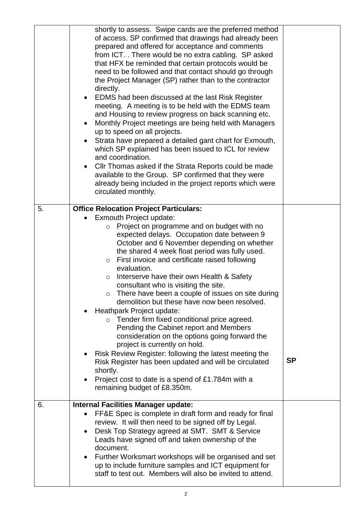|    | shortly to assess. Swipe cards are the preferred method<br>of access. SP confirmed that drawings had already been<br>prepared and offered for acceptance and comments<br>from ICT. There would be no extra cabling. SP asked<br>that HFX be reminded that certain protocols would be<br>need to be followed and that contact should go through<br>the Project Manager (SP) rather than to the contractor<br>directly.<br>EDMS had been discussed at the last Risk Register<br>$\bullet$<br>meeting. A meeting is to be held with the EDMS team<br>and Housing to review progress on back scanning etc.<br>Monthly Project meetings are being held with Managers<br>٠<br>up to speed on all projects.<br>Strata have prepared a detailed gant chart for Exmouth,<br>which SP explained has been issued to ICL for review<br>and coordination.<br>Cllr Thomas asked if the Strata Reports could be made<br>$\bullet$<br>available to the Group. SP confirmed that they were<br>already being included in the project reports which were<br>circulated monthly. |           |
|----|--------------------------------------------------------------------------------------------------------------------------------------------------------------------------------------------------------------------------------------------------------------------------------------------------------------------------------------------------------------------------------------------------------------------------------------------------------------------------------------------------------------------------------------------------------------------------------------------------------------------------------------------------------------------------------------------------------------------------------------------------------------------------------------------------------------------------------------------------------------------------------------------------------------------------------------------------------------------------------------------------------------------------------------------------------------|-----------|
| 5. | <b>Office Relocation Project Particulars:</b><br>Exmouth Project update:<br>Project on programme and on budget with no<br>$\circ$<br>expected delays. Occupation date between 9<br>October and 6 November depending on whether<br>the shared 4 week float period was fully used.<br>First invoice and certificate raised following<br>$\circ$<br>evaluation.<br>Interserve have their own Health & Safety<br>$\circ$<br>consultant who is visiting the site.<br>$\circ$ There have been a couple of issues on site during<br>demolition but these have now been resolved.<br>Heathpark Project update:<br>o Tender firm fixed conditional price agreed.<br>Pending the Cabinet report and Members<br>consideration on the options going forward the<br>project is currently on hold.<br>Risk Review Register: following the latest meeting the<br>$\bullet$<br>Risk Register has been updated and will be circulated<br>shortly.<br>Project cost to date is a spend of £1.784m with a<br>$\bullet$<br>remaining budget of £8.350m.                           | <b>SP</b> |
| 6. | <b>Internal Facilities Manager update:</b><br>FF&E Spec is complete in draft form and ready for final<br>$\bullet$<br>review. It will then need to be signed off by Legal.<br>Desk Top Strategy agreed at SMT. SMT & Service<br>$\bullet$<br>Leads have signed off and taken ownership of the<br>document.<br>Further Worksmart workshops will be organised and set<br>$\bullet$<br>up to include furniture samples and ICT equipment for<br>staff to test out. Members will also be invited to attend.                                                                                                                                                                                                                                                                                                                                                                                                                                                                                                                                                      |           |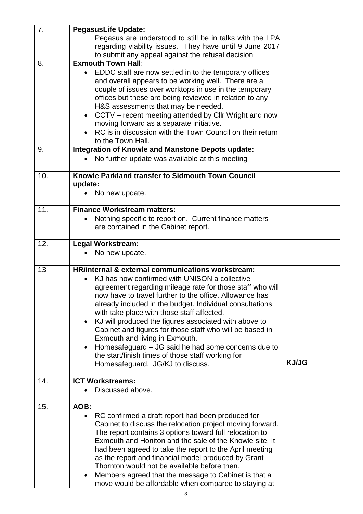| 7.  | <b>PegasusLife Update:</b>                                         |              |
|-----|--------------------------------------------------------------------|--------------|
|     | Pegasus are understood to still be in talks with the LPA           |              |
|     | regarding viability issues. They have until 9 June 2017            |              |
|     | to submit any appeal against the refusal decision                  |              |
| 8.  | <b>Exmouth Town Hall:</b>                                          |              |
|     | EDDC staff are now settled in to the temporary offices             |              |
|     | and overall appears to be working well. There are a                |              |
|     | couple of issues over worktops in use in the temporary             |              |
|     | offices but these are being reviewed in relation to any            |              |
|     | H&S assessments that may be needed.                                |              |
|     | CCTV – recent meeting attended by CIIr Wright and now<br>$\bullet$ |              |
|     | moving forward as a separate initiative.                           |              |
|     | RC is in discussion with the Town Council on their return          |              |
|     | to the Town Hall.                                                  |              |
| 9.  | <b>Integration of Knowle and Manstone Depots update:</b>           |              |
|     | No further update was available at this meeting                    |              |
|     |                                                                    |              |
| 10. | Knowle Parkland transfer to Sidmouth Town Council                  |              |
|     | update:                                                            |              |
|     | No new update.                                                     |              |
|     |                                                                    |              |
| 11. | <b>Finance Workstream matters:</b>                                 |              |
|     | Nothing specific to report on. Current finance matters             |              |
|     | are contained in the Cabinet report.                               |              |
|     |                                                                    |              |
| 12. | <b>Legal Workstream:</b>                                           |              |
|     | No new update.                                                     |              |
|     |                                                                    |              |
| 13  | <b>HR/internal &amp; external communications workstream:</b>       |              |
|     | KJ has now confirmed with UNISON a collective                      |              |
|     | agreement regarding mileage rate for those staff who will          |              |
|     | now have to travel further to the office. Allowance has            |              |
|     | already included in the budget. Individual consultations           |              |
|     | with take place with those staff affected.                         |              |
|     | KJ will produced the figures associated with above to<br>$\bullet$ |              |
|     | Cabinet and figures for those staff who will be based in           |              |
|     | Exmouth and living in Exmouth.                                     |              |
|     | Homesafeguard – JG said he had some concerns due to<br>$\bullet$   |              |
|     | the start/finish times of those staff working for                  | <b>KJ/JG</b> |
|     | Homesafeguard. JG/KJ to discuss.                                   |              |
| 14. | <b>ICT Workstreams:</b>                                            |              |
|     | Discussed above.                                                   |              |
|     |                                                                    |              |
| 15. | AOB:                                                               |              |
|     | RC confirmed a draft report had been produced for<br>$\bullet$     |              |
|     | Cabinet to discuss the relocation project moving forward.          |              |
|     | The report contains 3 options toward full relocation to            |              |
|     | Exmouth and Honiton and the sale of the Knowle site. It            |              |
|     | had been agreed to take the report to the April meeting            |              |
|     | as the report and financial model produced by Grant                |              |
|     | Thornton would not be available before then.                       |              |
|     | Members agreed that the message to Cabinet is that a               |              |
|     | move would be affordable when compared to staying at               |              |